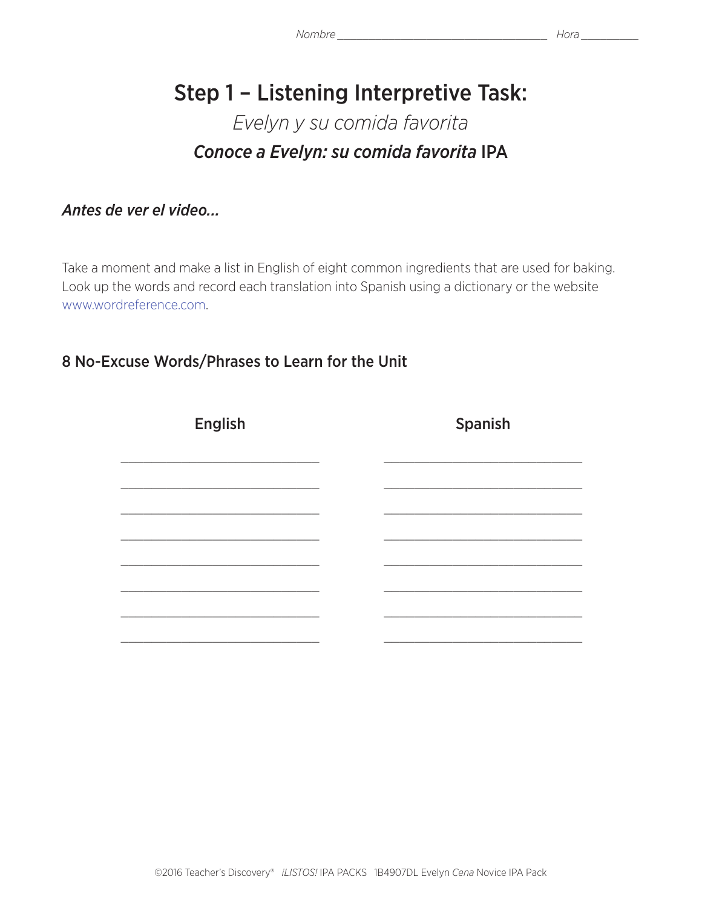# Step 1 – Listening Interpretive Task: *Evelyn y su comida favorita Conoce a Evelyn: su comida favorita* IPA

*Antes de ver el video...*

Take a moment and make a list in English of eight common ingredients that are used for baking. Look up the words and record each translation into Spanish using a dictionary or the website www.wordreference.com.

## 8 No-Excuse Words/Phrases to Learn for the Unit

| <b>English</b> | Spanish |  |  |  |
|----------------|---------|--|--|--|
|                |         |  |  |  |
|                |         |  |  |  |
|                |         |  |  |  |
|                |         |  |  |  |
|                |         |  |  |  |
|                |         |  |  |  |
|                |         |  |  |  |
|                |         |  |  |  |
|                |         |  |  |  |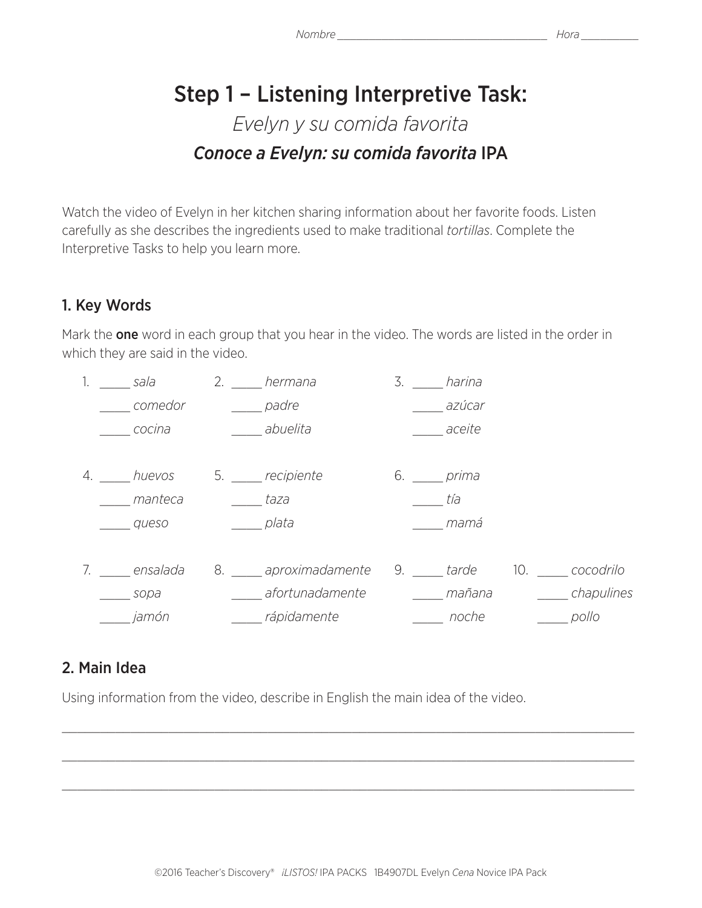# Step 1 – Listening Interpretive Task: *Evelyn y su comida favorita Conoce a Evelyn: su comida favorita* IPA

Watch the video of Evelyn in her kitchen sharing information about her favorite foods. Listen carefully as she describes the ingredients used to make traditional *tortillas*. Complete the Interpretive Tasks to help you learn more.

# 1. Key Words

Mark the **one** word in each group that you hear in the video. The words are listed in the order in which they are said in the video.

|    | sala        | 2. | hermana            | 3. | harina   |     |            |
|----|-------------|----|--------------------|----|----------|-----|------------|
|    | comedor     |    | padre              |    | azúcar   |     |            |
|    | cocina      |    | abuelita           |    | aceite   |     |            |
|    |             |    |                    |    |          |     |            |
| 4. | huevos      | 5. | recipiente         | 6. | prima    |     |            |
|    | manteca     |    | taza               |    | tía      |     |            |
|    | queso       |    | plata              |    | mamá     |     |            |
|    |             |    |                    |    |          |     |            |
|    | 7. ensalada |    | 8. aproximadamente |    | 9. tarde | 10. | cocodrilo  |
|    | sopa        |    | afortunadamente    |    | mañana   |     | chapulines |
|    | jamón       |    | rápidamente        |    | noche    |     | pollo      |

### 2. Main Idea

Using information from the video, describe in English the main idea of the video.

\_\_\_\_\_\_\_\_\_\_\_\_\_\_\_\_\_\_\_\_\_\_\_\_\_\_\_\_\_\_\_\_\_\_\_\_\_\_\_\_\_\_\_\_\_\_\_\_\_\_\_\_\_\_\_\_\_\_\_\_\_\_\_\_\_\_\_\_\_\_\_\_\_\_\_

 $\_$  , and the contribution of the contribution of the contribution of the contribution of the contribution of  $\mathcal{L}_\text{max}$ 

 $\_$  , and the contribution of the contribution of the contribution of the contribution of the contribution of  $\mathcal{L}_\text{max}$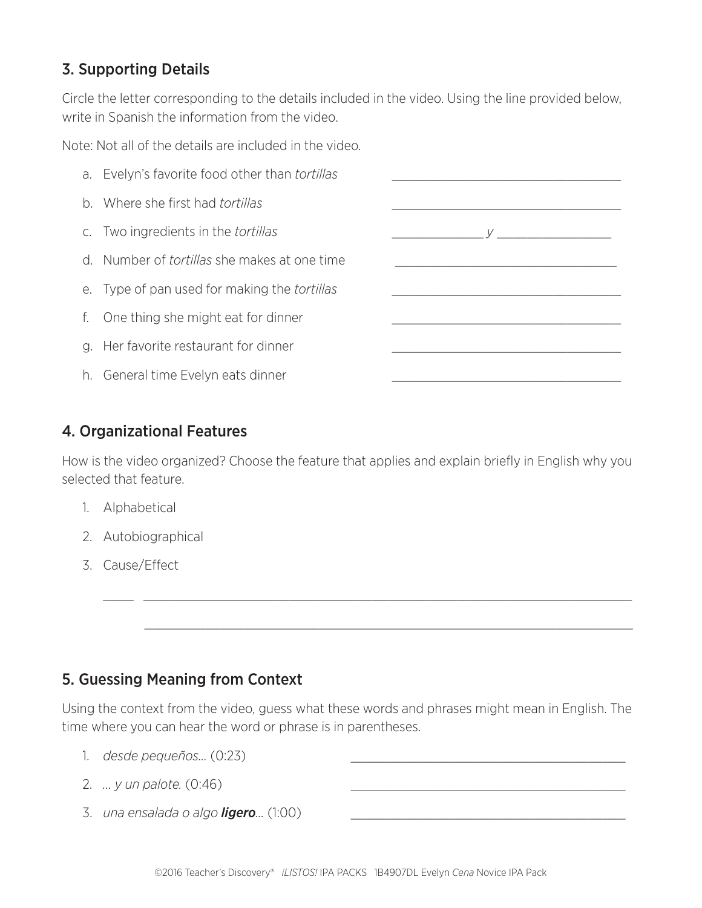## 3. Supporting Details

Circle the letter corresponding to the details included in the video. Using the line provided below, write in Spanish the information from the video.

Note: Not all of the details are included in the video.



#### 4. Organizational Features

How is the video organized? Choose the feature that applies and explain briefly in English why you selected that feature.

- 1. Alphabetical
- 2. Autobiographical
- 3. Cause/Effect

### 5. Guessing Meaning from Context

Using the context from the video, guess what these words and phrases might mean in English. The time where you can hear the word or phrase is in parentheses.

\_\_\_\_ \_\_\_\_\_\_\_\_\_\_\_\_\_\_\_\_\_\_\_\_\_\_\_\_\_\_\_\_\_\_\_\_\_\_\_\_\_\_\_\_\_\_\_\_\_\_\_\_\_\_\_\_\_\_\_\_\_\_\_\_\_\_\_\_

- 1. *desde pequeños...* (0:23) \_\_\_\_\_\_\_\_\_\_\_\_\_\_\_\_\_\_\_\_\_\_\_\_\_\_\_\_\_\_\_\_\_\_\_\_
- 2. *... y un palote.* (0:46) \_\_\_\_\_\_\_\_\_\_\_\_\_\_\_\_\_\_\_\_\_\_\_\_\_\_\_\_\_\_\_\_\_\_\_\_
- 3. *una ensalada o algo ligero...* (1:00) \_\_\_\_\_\_\_\_\_\_\_\_\_\_\_\_\_\_\_\_\_\_\_\_\_\_\_\_\_\_\_\_\_\_\_\_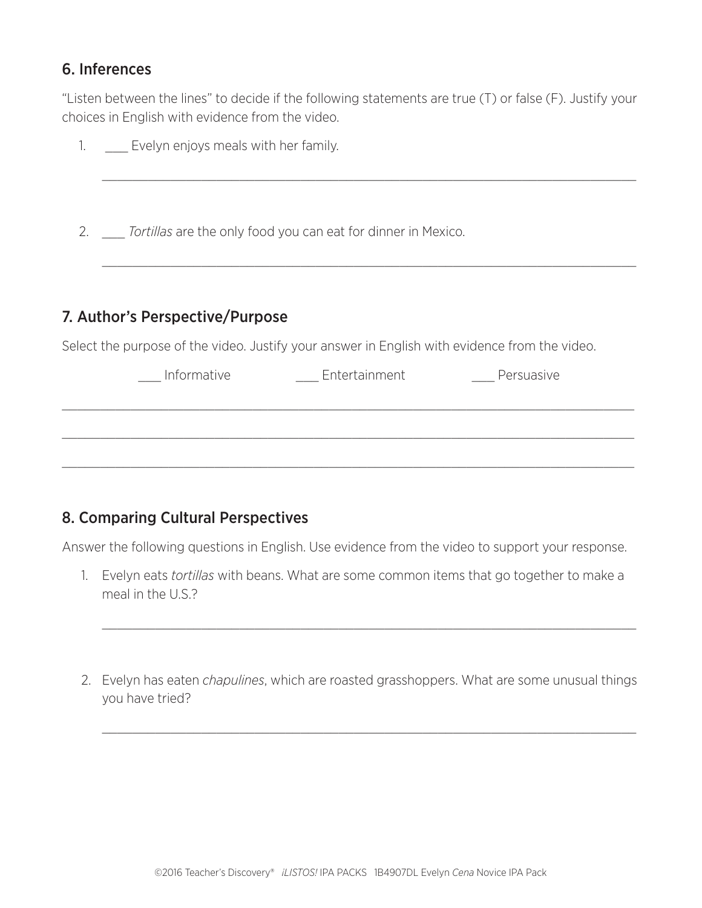#### 6. Inferences

"Listen between the lines" to decide if the following statements are true (T) or false (F). Justify your choices in English with evidence from the video.

| $\mathbb{1}$ . | Evelyn enjoys meals with her family.                                                                                             |                                      |  |
|----------------|----------------------------------------------------------------------------------------------------------------------------------|--------------------------------------|--|
|                | 2. Tortillas are the only food you can eat for dinner in Mexico.                                                                 |                                      |  |
|                | 7. Author's Perspective/Purpose<br>Select the purpose of the video. Justify your answer in English with evidence from the video. |                                      |  |
|                |                                                                                                                                  | Informative Entertainment Persuasive |  |
|                |                                                                                                                                  |                                      |  |
|                |                                                                                                                                  |                                      |  |

## 8. Comparing Cultural Perspectives

Answer the following questions in English. Use evidence from the video to support your response.

- 1. Evelyn eats *tortillas* with beans. What are some common items that go together to make a meal in the U.S.?
- 2. Evelyn has eaten *chapulines*, which are roasted grasshoppers. What are some unusual things you have tried?

 $\_$  , and the contribution of the contribution of  $\mathcal{L}_\mathcal{A}$  , and the contribution of  $\mathcal{L}_\mathcal{A}$